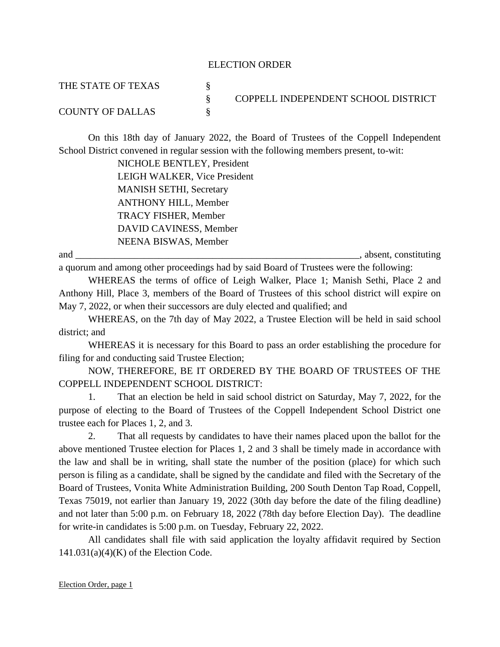## ELECTION ORDER

| THE STATE OF TEXAS      |                                     |
|-------------------------|-------------------------------------|
|                         | COPPELL INDEPENDENT SCHOOL DISTRICT |
| <b>COUNTY OF DALLAS</b> |                                     |

On this 18th day of January 2022, the Board of Trustees of the Coppell Independent School District convened in regular session with the following members present, to-wit:

> NICHOLE BENTLEY, President LEIGH WALKER, Vice President MANISH SETHI, Secretary ANTHONY HILL, Member TRACY FISHER, Member DAVID CAVINESS, Member NEENA BISWAS, Member

and \_\_\_\_\_\_\_\_\_\_\_\_\_\_\_\_\_\_\_\_\_\_\_\_\_\_\_\_\_\_\_\_\_\_\_\_\_\_\_\_\_\_\_\_\_\_\_\_\_\_\_\_\_\_\_\_\_\_, absent, constituting

a quorum and among other proceedings had by said Board of Trustees were the following:

WHEREAS the terms of office of Leigh Walker, Place 1; Manish Sethi, Place 2 and Anthony Hill, Place 3, members of the Board of Trustees of this school district will expire on May 7, 2022, or when their successors are duly elected and qualified; and

WHEREAS, on the 7th day of May 2022, a Trustee Election will be held in said school district; and

WHEREAS it is necessary for this Board to pass an order establishing the procedure for filing for and conducting said Trustee Election;

NOW, THEREFORE, BE IT ORDERED BY THE BOARD OF TRUSTEES OF THE COPPELL INDEPENDENT SCHOOL DISTRICT:

1. That an election be held in said school district on Saturday, May 7, 2022, for the purpose of electing to the Board of Trustees of the Coppell Independent School District one trustee each for Places 1, 2, and 3.

2. That all requests by candidates to have their names placed upon the ballot for the above mentioned Trustee election for Places 1, 2 and 3 shall be timely made in accordance with the law and shall be in writing, shall state the number of the position (place) for which such person is filing as a candidate, shall be signed by the candidate and filed with the Secretary of the Board of Trustees, Vonita White Administration Building, 200 South Denton Tap Road, Coppell, Texas 75019, not earlier than January 19, 2022 (30th day before the date of the filing deadline) and not later than 5:00 p.m. on February 18, 2022 (78th day before Election Day). The deadline for write-in candidates is 5:00 p.m. on Tuesday, February 22, 2022.

All candidates shall file with said application the loyalty affidavit required by Section  $141.031(a)(4)(K)$  of the Election Code.

Election Order, page 1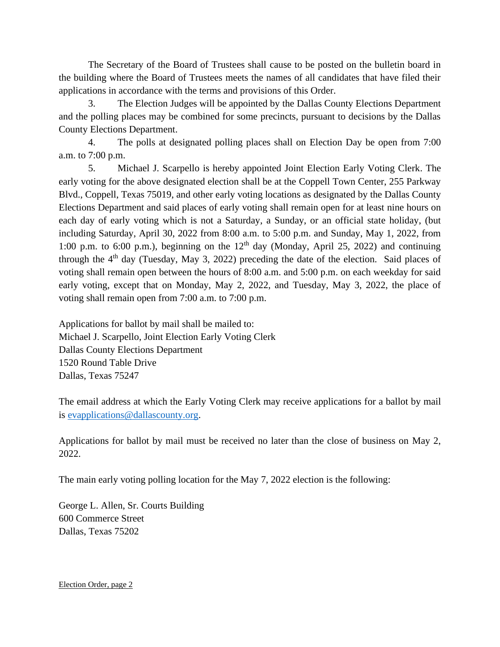The Secretary of the Board of Trustees shall cause to be posted on the bulletin board in the building where the Board of Trustees meets the names of all candidates that have filed their applications in accordance with the terms and provisions of this Order.

3. The Election Judges will be appointed by the Dallas County Elections Department and the polling places may be combined for some precincts, pursuant to decisions by the Dallas County Elections Department.

4. The polls at designated polling places shall on Election Day be open from 7:00 a.m. to 7:00 p.m.

5. Michael J. Scarpello is hereby appointed Joint Election Early Voting Clerk. The early voting for the above designated election shall be at the Coppell Town Center, 255 Parkway Blvd., Coppell, Texas 75019, and other early voting locations as designated by the Dallas County Elections Department and said places of early voting shall remain open for at least nine hours on each day of early voting which is not a Saturday, a Sunday, or an official state holiday, (but including Saturday, April 30, 2022 from 8:00 a.m. to 5:00 p.m. and Sunday, May 1, 2022, from 1:00 p.m. to 6:00 p.m.), beginning on the  $12<sup>th</sup>$  day (Monday, April 25, 2022) and continuing through the  $4<sup>th</sup>$  day (Tuesday, May 3, 2022) preceding the date of the election. Said places of voting shall remain open between the hours of 8:00 a.m. and 5:00 p.m. on each weekday for said early voting, except that on Monday, May 2, 2022, and Tuesday, May 3, 2022, the place of voting shall remain open from 7:00 a.m. to 7:00 p.m.

Applications for ballot by mail shall be mailed to: Michael J. Scarpello, Joint Election Early Voting Clerk Dallas County Elections Department 1520 Round Table Drive Dallas, Texas 75247

The email address at which the Early Voting Clerk may receive applications for a ballot by mail is [evapplications@dallascounty.org.](mailto:evapplications@dallascounty.org)

Applications for ballot by mail must be received no later than the close of business on May 2, 2022.

The main early voting polling location for the May 7, 2022 election is the following:

George L. Allen, Sr. Courts Building 600 Commerce Street Dallas, Texas 75202

Election Order, page 2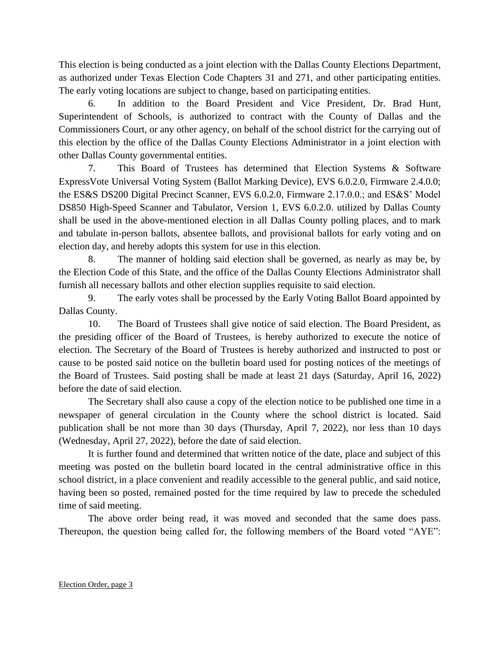This election is being conducted as a joint election with the Dallas County Elections Department, as authorized under Texas Election Code Chapters 31 and 271, and other participating entities. The early voting locations are subject to change, based on participating entities*.*

6. In addition to the Board President and Vice President, Dr. Brad Hunt, Superintendent of Schools, is authorized to contract with the County of Dallas and the Commissioners Court, or any other agency, on behalf of the school district for the carrying out of this election by the office of the Dallas County Elections Administrator in a joint election with other Dallas County governmental entities.

7. This Board of Trustees has determined that Election Systems & Software ExpressVote Universal Voting System (Ballot Marking Device), EVS 6.0.2.0, Firmware 2.4.0.0; the ES&S DS200 Digital Precinct Scanner, EVS 6.0.2.0, Firmware 2.17.0.0.; and ES&S' Model DS850 High-Speed Scanner and Tabulator, Version 1, EVS 6.0.2.0. utilized by Dallas County shall be used in the above-mentioned election in all Dallas County polling places, and to mark and tabulate in-person ballots, absentee ballots, and provisional ballots for early voting and on election day, and hereby adopts this system for use in this election.

8. The manner of holding said election shall be governed, as nearly as may be, by the Election Code of this State, and the office of the Dallas County Elections Administrator shall furnish all necessary ballots and other election supplies requisite to said election.

9. The early votes shall be processed by the Early Voting Ballot Board appointed by Dallas County.

10. The Board of Trustees shall give notice of said election. The Board President, as the presiding officer of the Board of Trustees, is hereby authorized to execute the notice of election. The Secretary of the Board of Trustees is hereby authorized and instructed to post or cause to be posted said notice on the bulletin board used for posting notices of the meetings of the Board of Trustees. Said posting shall be made at least 21 days (Saturday, April 16, 2022) before the date of said election.

The Secretary shall also cause a copy of the election notice to be published one time in a newspaper of general circulation in the County where the school district is located. Said publication shall be not more than 30 days (Thursday, April 7, 2022), nor less than 10 days (Wednesday, April 27, 2022), before the date of said election.

It is further found and determined that written notice of the date, place and subject of this meeting was posted on the bulletin board located in the central administrative office in this school district, in a place convenient and readily accessible to the general public, and said notice, having been so posted, remained posted for the time required by law to precede the scheduled time of said meeting.

The above order being read, it was moved and seconded that the same does pass. Thereupon, the question being called for, the following members of the Board voted "AYE":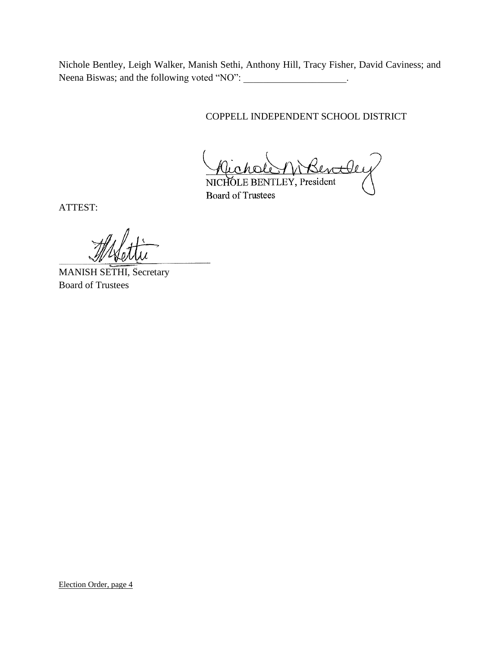Nichole Bentley, Leigh Walker, Manish Sethi, Anthony Hill, Tracy Fisher, David Caviness; and Neena Biswas; and the following voted "NO": \_\_\_\_\_\_\_\_\_\_\_\_\_\_\_\_\_\_\_\_\_.

COPPELL INDEPENDENT SCHOOL DISTRICT

Michole Wisentt NICHOLE BENTLEY, President

Board of Trustees

ATTEST:

\_\_\_\_\_\_\_\_\_\_\_\_\_\_\_\_\_\_\_\_\_\_\_\_\_\_\_\_\_\_\_

MANISH SETHI, Secretary Board of Trustees

Election Order, page 4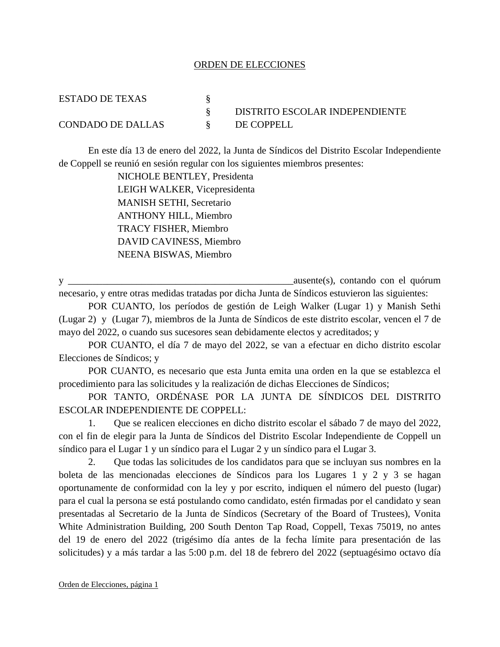## ORDEN DE ELECCIONES

| ESTADO DE TEXAS          |                                |
|--------------------------|--------------------------------|
|                          | DISTRITO ESCOLAR INDEPENDIENTE |
| <b>CONDADO DE DALLAS</b> | DE COPPELL                     |

En este día 13 de enero del 2022, la Junta de Síndicos del Distrito Escolar Independiente de Coppell se reunió en sesión regular con los siguientes miembros presentes:

> NICHOLE BENTLEY, Presidenta LEIGH WALKER, Vicepresidenta MANISH SETHI, Secretario ANTHONY HILL, Miembro TRACY FISHER, Miembro DAVID CAVINESS, Miembro NEENA BISWAS, Miembro

y \_\_\_\_\_\_\_\_\_\_\_\_\_\_\_\_\_\_\_\_\_\_\_\_\_\_\_\_\_\_\_\_\_\_\_\_\_\_\_\_\_\_\_\_\_\_ausente(s), contando con el quórum necesario, y entre otras medidas tratadas por dicha Junta de Síndicos estuvieron las siguientes:

POR CUANTO, los períodos de gestión de Leigh Walker (Lugar 1) y Manish Sethi (Lugar 2) y (Lugar 7), miembros de la Junta de Síndicos de este distrito escolar, vencen el 7 de mayo del 2022, o cuando sus sucesores sean debidamente electos y acreditados; y

POR CUANTO, el día 7 de mayo del 2022, se van a efectuar en dicho distrito escolar Elecciones de Síndicos; y

POR CUANTO, es necesario que esta Junta emita una orden en la que se establezca el procedimiento para las solicitudes y la realización de dichas Elecciones de Síndicos;

POR TANTO, ORDÉNASE POR LA JUNTA DE SÍNDICOS DEL DISTRITO ESCOLAR INDEPENDIENTE DE COPPELL:

1. Que se realicen elecciones en dicho distrito escolar el sábado 7 de mayo del 2022, con el fin de elegir para la Junta de Síndicos del Distrito Escolar Independiente de Coppell un síndico para el Lugar 1 y un síndico para el Lugar 2 y un síndico para el Lugar 3.

2. Que todas las solicitudes de los candidatos para que se incluyan sus nombres en la boleta de las mencionadas elecciones de Síndicos para los Lugares 1 y 2 y 3 se hagan oportunamente de conformidad con la ley y por escrito, indiquen el número del puesto (lugar) para el cual la persona se está postulando como candidato, estén firmadas por el candidato y sean presentadas al Secretario de la Junta de Síndicos (Secretary of the Board of Trustees), Vonita White Administration Building, 200 South Denton Tap Road, Coppell, Texas 75019, no antes del 19 de enero del 2022 (trigésimo día antes de la fecha límite para presentación de las solicitudes) y a más tardar a las 5:00 p.m. del 18 de febrero del 2022 (septuagésimo octavo día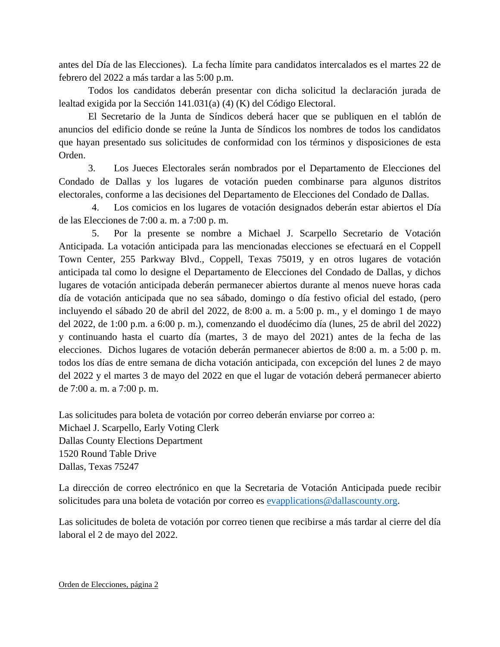antes del Día de las Elecciones). La fecha límite para candidatos intercalados es el martes 22 de febrero del 2022 a más tardar a las 5:00 p.m.

 Todos los candidatos deberán presentar con dicha solicitud la declaración jurada de lealtad exigida por la Sección 141.031(a) (4) (K) del Código Electoral.

El Secretario de la Junta de Síndicos deberá hacer que se publiquen en el tablón de anuncios del edificio donde se reúne la Junta de Síndicos los nombres de todos los candidatos que hayan presentado sus solicitudes de conformidad con los términos y disposiciones de esta Orden.

3. Los Jueces Electorales serán nombrados por el Departamento de Elecciones del Condado de Dallas y los lugares de votación pueden combinarse para algunos distritos electorales, conforme a las decisiones del Departamento de Elecciones del Condado de Dallas.

4. Los comicios en los lugares de votación designados deberán estar abiertos el Día de las Elecciones de 7:00 a. m. a 7:00 p. m.

5. Por la presente se nombre a Michael J. Scarpello Secretario de Votación Anticipada. La votación anticipada para las mencionadas elecciones se efectuará en el Coppell Town Center, 255 Parkway Blvd., Coppell, Texas 75019, y en otros lugares de votación anticipada tal como lo designe el Departamento de Elecciones del Condado de Dallas, y dichos lugares de votación anticipada deberán permanecer abiertos durante al menos nueve horas cada día de votación anticipada que no sea sábado, domingo o día festivo oficial del estado, (pero incluyendo el sábado 20 de abril del 2022, de 8:00 a. m. a 5:00 p. m., y el domingo 1 de mayo del 2022, de 1:00 p.m. a 6:00 p. m.), comenzando el duodécimo día (lunes, 25 de abril del 2022) y continuando hasta el cuarto día (martes, 3 de mayo del 2021) antes de la fecha de las elecciones. Dichos lugares de votación deberán permanecer abiertos de 8:00 a. m. a 5:00 p. m. todos los días de entre semana de dicha votación anticipada, con excepción del lunes 2 de mayo del 2022 y el martes 3 de mayo del 2022 en que el lugar de votación deberá permanecer abierto de 7:00 a. m. a 7:00 p. m.

Las solicitudes para boleta de votación por correo deberán enviarse por correo a: Michael J. Scarpello, Early Voting Clerk Dallas County Elections Department 1520 Round Table Drive Dallas, Texas 75247

La dirección de correo electrónico en que la Secretaria de Votación Anticipada puede recibir solicitudes para una boleta de votación por correo es [evapplications@dallascounty.org.](mailto:evapplications@dallascounty.org)

Las solicitudes de boleta de votación por correo tienen que recibirse a más tardar al cierre del día laboral el 2 de mayo del 2022.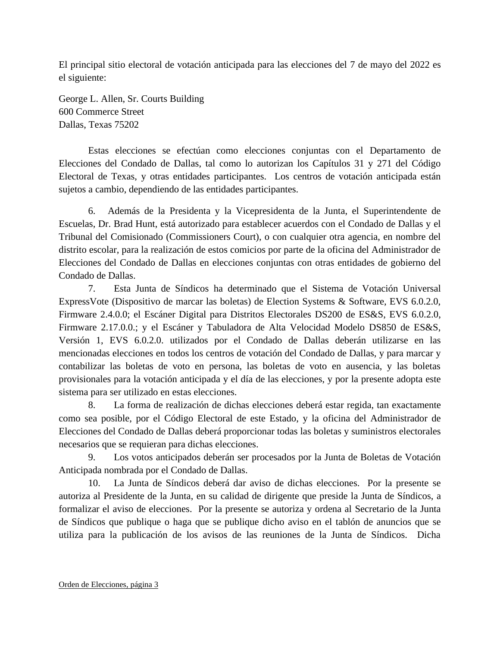El principal sitio electoral de votación anticipada para las elecciones del 7 de mayo del 2022 es el siguiente:

George L. Allen, Sr. Courts Building 600 Commerce Street Dallas, Texas 75202

Estas elecciones se efectúan como elecciones conjuntas con el Departamento de Elecciones del Condado de Dallas, tal como lo autorizan los Capítulos 31 y 271 del Código Electoral de Texas, y otras entidades participantes. Los centros de votación anticipada están sujetos a cambio, dependiendo de las entidades participantes.

6. Además de la Presidenta y la Vicepresidenta de la Junta, el Superintendente de Escuelas, Dr. Brad Hunt, está autorizado para establecer acuerdos con el Condado de Dallas y el Tribunal del Comisionado (Commissioners Court), o con cualquier otra agencia, en nombre del distrito escolar, para la realización de estos comicios por parte de la oficina del Administrador de Elecciones del Condado de Dallas en elecciones conjuntas con otras entidades de gobierno del Condado de Dallas.

7. Esta Junta de Síndicos ha determinado que el Sistema de Votación Universal ExpressVote (Dispositivo de marcar las boletas) de Election Systems & Software, EVS 6.0.2.0, Firmware 2.4.0.0; el Escáner Digital para Distritos Electorales DS200 de ES&S, EVS 6.0.2.0, Firmware 2.17.0.0.; y el Escáner y Tabuladora de Alta Velocidad Modelo DS850 de ES&S, Versión 1, EVS 6.0.2.0. utilizados por el Condado de Dallas deberán utilizarse en las mencionadas elecciones en todos los centros de votación del Condado de Dallas, y para marcar y contabilizar las boletas de voto en persona, las boletas de voto en ausencia, y las boletas provisionales para la votación anticipada y el día de las elecciones, y por la presente adopta este sistema para ser utilizado en estas elecciones.

8. La forma de realización de dichas elecciones deberá estar regida, tan exactamente como sea posible, por el Código Electoral de este Estado, y la oficina del Administrador de Elecciones del Condado de Dallas deberá proporcionar todas las boletas y suministros electorales necesarios que se requieran para dichas elecciones.

9. Los votos anticipados deberán ser procesados por la Junta de Boletas de Votación Anticipada nombrada por el Condado de Dallas.

10. La Junta de Síndicos deberá dar aviso de dichas elecciones. Por la presente se autoriza al Presidente de la Junta, en su calidad de dirigente que preside la Junta de Síndicos, a formalizar el aviso de elecciones. Por la presente se autoriza y ordena al Secretario de la Junta de Síndicos que publique o haga que se publique dicho aviso en el tablón de anuncios que se utiliza para la publicación de los avisos de las reuniones de la Junta de Síndicos. Dicha